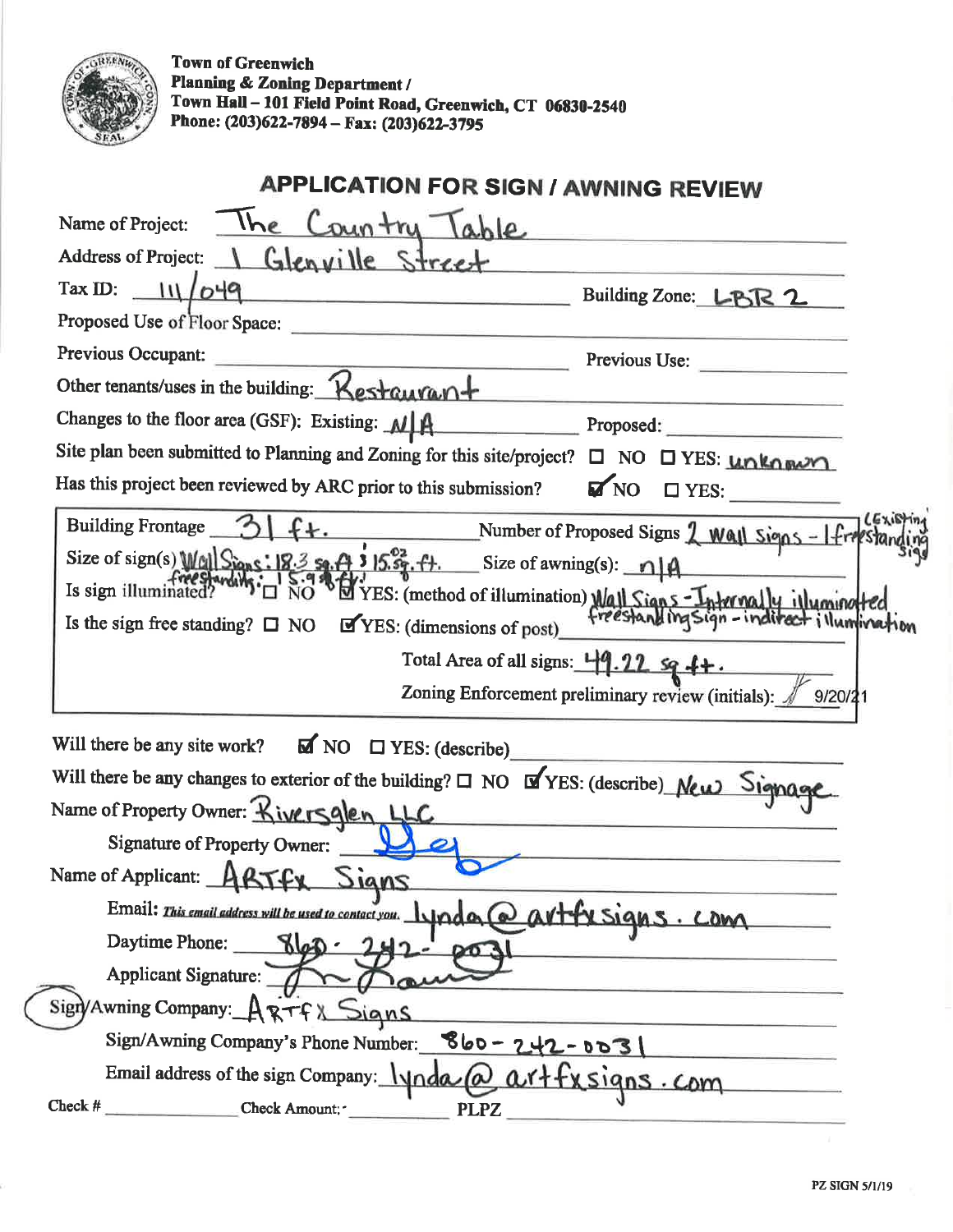

Town of Greenwich Planning & Zoning Department/ Town Hall - 101 Field Point Road, Greenwich, CT 06830-2540 Phone: (203)622-7894 – Fax: (203)622-3795

| <b>APPLICATION FOR SIGN / AWNING REVIEW</b>                                                                       |                                                                                                                                                                                                                                                                                                                                                                                                                      |
|-------------------------------------------------------------------------------------------------------------------|----------------------------------------------------------------------------------------------------------------------------------------------------------------------------------------------------------------------------------------------------------------------------------------------------------------------------------------------------------------------------------------------------------------------|
| The Country Table<br>Name of Project:                                                                             |                                                                                                                                                                                                                                                                                                                                                                                                                      |
| Address of Project: 1 Glenville Street                                                                            |                                                                                                                                                                                                                                                                                                                                                                                                                      |
| Tax ID: $11/649$<br>Building Zone: LBR 2                                                                          |                                                                                                                                                                                                                                                                                                                                                                                                                      |
| Proposed Use of Floor Space:                                                                                      |                                                                                                                                                                                                                                                                                                                                                                                                                      |
| Previous Occupant:<br><u> 1980 - Andrea Andrew Hermann, ameri</u> kan                                             | Previous Use:                                                                                                                                                                                                                                                                                                                                                                                                        |
| Other tenants/uses in the building: Kestauvant                                                                    |                                                                                                                                                                                                                                                                                                                                                                                                                      |
| Changes to the floor area (GSF): Existing: $M \uparrow A$                                                         | $\frac{1}{\sqrt{1-\frac{1}{2}}\sqrt{1-\frac{1}{2}}\sqrt{1-\frac{1}{2}}\sqrt{1-\frac{1}{2}}\sqrt{1-\frac{1}{2}}\sqrt{1-\frac{1}{2}}\sqrt{1-\frac{1}{2}}\sqrt{1-\frac{1}{2}}\sqrt{1-\frac{1}{2}}\sqrt{1-\frac{1}{2}}\sqrt{1-\frac{1}{2}}\sqrt{1-\frac{1}{2}}\sqrt{1-\frac{1}{2}}\sqrt{1-\frac{1}{2}}\sqrt{1-\frac{1}{2}}\sqrt{1-\frac{1}{2}}\sqrt{1-\frac{1}{2}}\sqrt{1-\frac{1}{2}}\sqrt{1-\frac{1}{2}}\sqrt{1-\frac$ |
| Site plan been submitted to Planning and Zoning for this site/project? $\Box$ NO $\Box$ YES: $\Box$ NARA purchers |                                                                                                                                                                                                                                                                                                                                                                                                                      |
| Has this project been reviewed by ARC prior to this submission?                                                   | $\blacksquare$ NO $\square$ YES:                                                                                                                                                                                                                                                                                                                                                                                     |
| Building Frontage 3                                                                                               | Number of Proposed Signs 2 Wall Signs - If                                                                                                                                                                                                                                                                                                                                                                           |
| Size of sign(s) $Wc_1 \sin s$ : $ 8.3 s_1.4 \sin s$ 15. $s_2$ , $s_1$ . Size of awning(s): $\eta  A$              |                                                                                                                                                                                                                                                                                                                                                                                                                      |
| Is sign illuminated?                                                                                              | VES: (method of illumination) Wall Signs Internally illuminor                                                                                                                                                                                                                                                                                                                                                        |
| YES: (dimensions of post)<br>Is the sign free standing? $\Box$ NO                                                 |                                                                                                                                                                                                                                                                                                                                                                                                                      |
| Total Area of all signs: $\frac{119.22}{9}$ sq $\frac{4}{7}$ .                                                    |                                                                                                                                                                                                                                                                                                                                                                                                                      |
|                                                                                                                   | Zoning Enforcement preliminary review (initials): / 9/20/21                                                                                                                                                                                                                                                                                                                                                          |
| Will there be any site work? $\overline{M}$ NO $\Box$ YES: (describe)                                             |                                                                                                                                                                                                                                                                                                                                                                                                                      |
| Will there be any changes to exterior of the building? $\Box$ NO $\Box$ YES: (describe) New Signage               |                                                                                                                                                                                                                                                                                                                                                                                                                      |
| Name of Property Owner: Kiversglen LLC                                                                            |                                                                                                                                                                                                                                                                                                                                                                                                                      |
| Signature of Property Owner:                                                                                      |                                                                                                                                                                                                                                                                                                                                                                                                                      |
| Name of Applicant: ABTFX Signs                                                                                    |                                                                                                                                                                                                                                                                                                                                                                                                                      |
| Email: This email address will be used to contact you. 1 prod a @ av+fx Signs. Com                                |                                                                                                                                                                                                                                                                                                                                                                                                                      |
| Daytime Phone: $8 00 \cdot 242 - 00$                                                                              |                                                                                                                                                                                                                                                                                                                                                                                                                      |
| Applicant Signature: 100                                                                                          |                                                                                                                                                                                                                                                                                                                                                                                                                      |
| Sign/Awning Company: ARTFX Signs                                                                                  |                                                                                                                                                                                                                                                                                                                                                                                                                      |
| Sign/Awning Company's Phone Number: 860 - 242 - 003                                                               |                                                                                                                                                                                                                                                                                                                                                                                                                      |
| Email address of the sign Company: $lynda$ @ artfx signs. Com                                                     |                                                                                                                                                                                                                                                                                                                                                                                                                      |
| $Check H$ Check Amount: PLPZ                                                                                      |                                                                                                                                                                                                                                                                                                                                                                                                                      |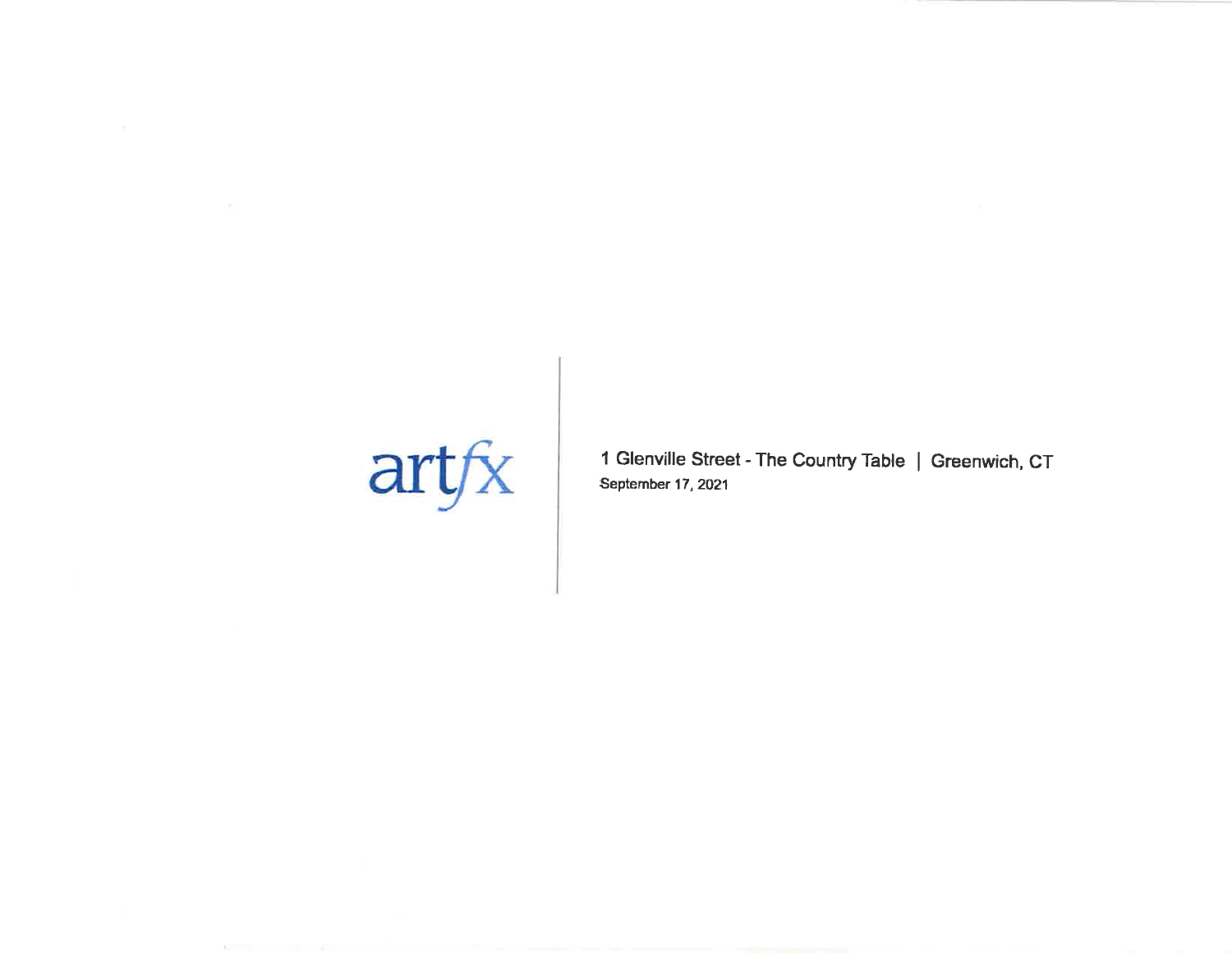## $\frac{a}{x}$

1 Glenville Street - The Country Table | Greenwich, CT September 17,2021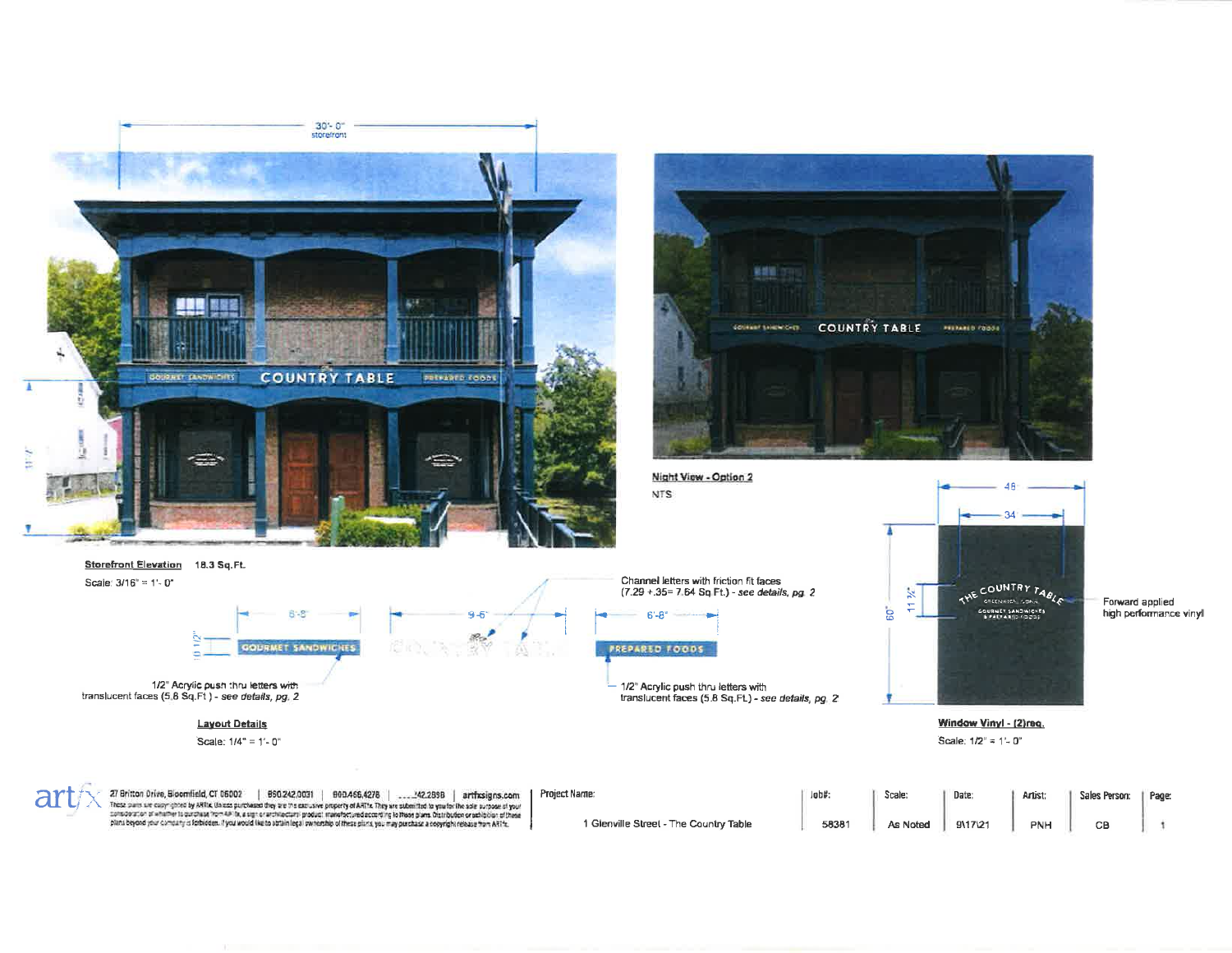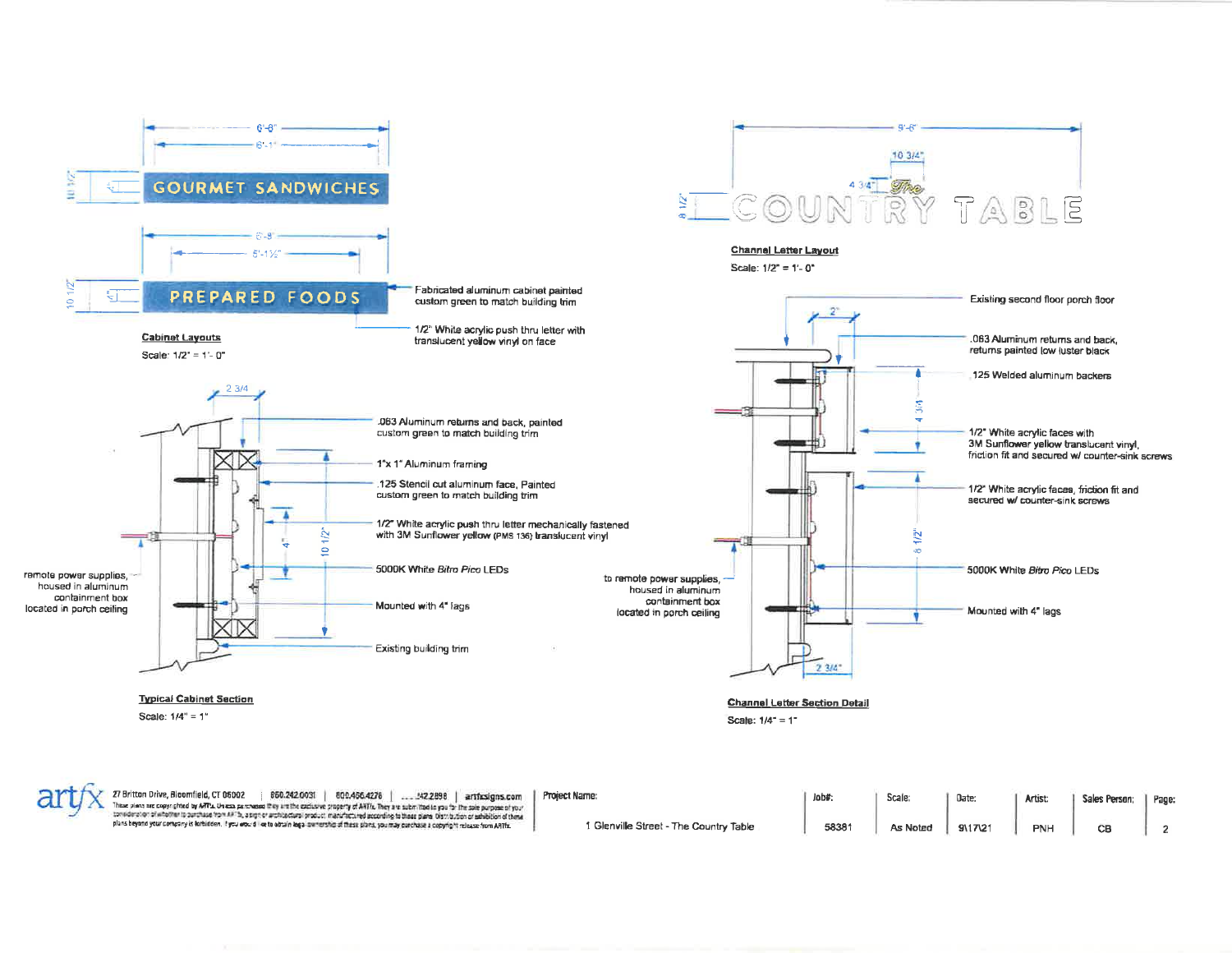

| <b>and All All Britton Drive, Bloomfield, CT 06002</b><br>850.242.0031<br>800.466.4278<br>142.2898<br>artficsions.com<br>These plans are copyrighted by ARPs. Unless purchased they are the exclusive property of ART/s. They are submitted in you for the sole purpose of your                                      | Project Name:                          | Jobs  | Scale:   | Date    | Artist     | Sales Person; | Page: |
|----------------------------------------------------------------------------------------------------------------------------------------------------------------------------------------------------------------------------------------------------------------------------------------------------------------------|----------------------------------------|-------|----------|---------|------------|---------------|-------|
| : consideration of whother to ourchase from ARTh, a sign or architectural product manufactured according to these plane Distribution or schibition of these<br>plans beyond your company is forbidden, if you would like to obtain logal switchship of these plans, you may porchase a copyright release from AATfx. | 1 Glenville Street - The Country Table | 58381 | As Noter | 9\17\21 | <b>PNH</b> |               |       |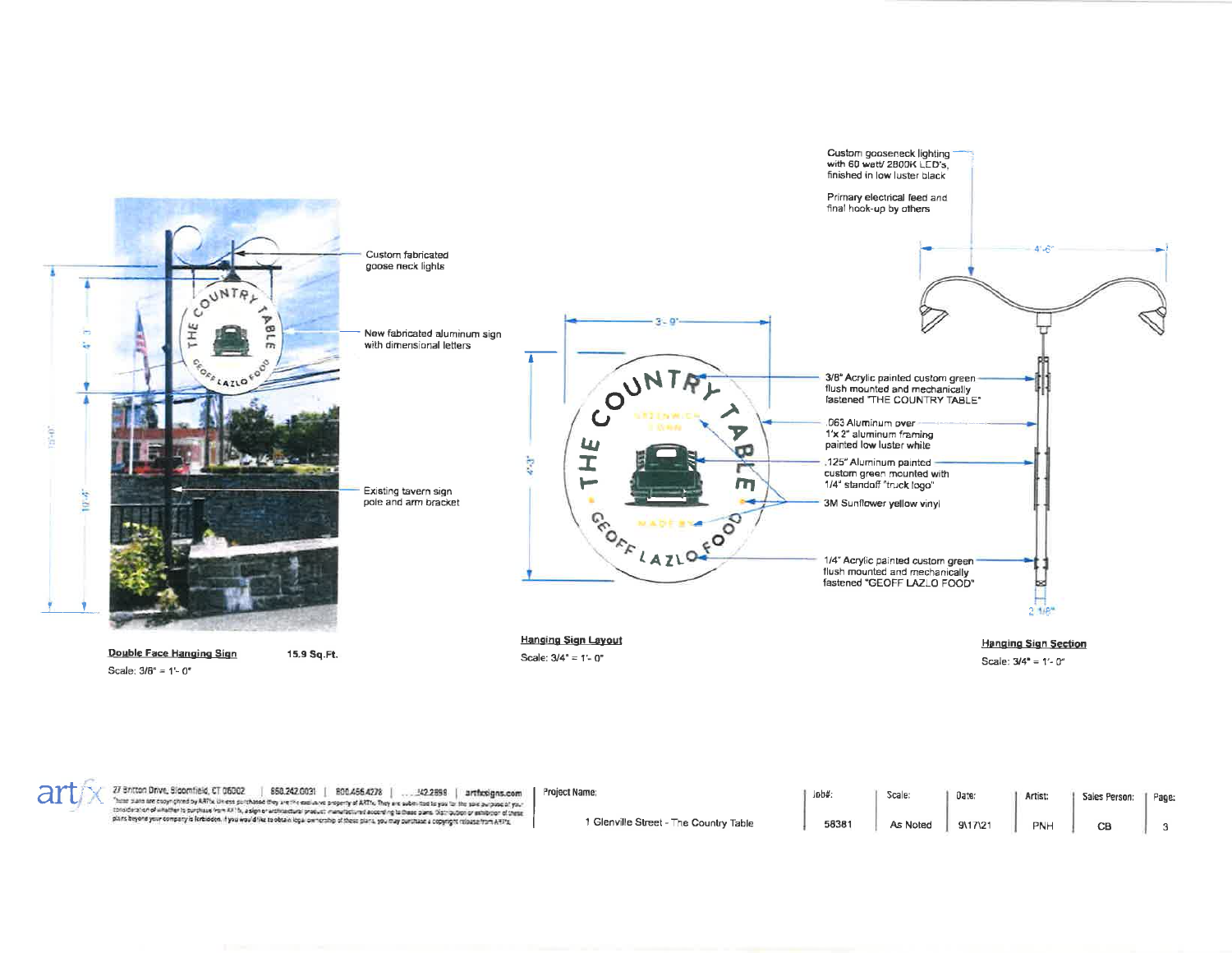



27 Britton Drive, Bloomfield, CT 06002 | 650.242.0031 | 800.456.4276 | ... 142.2858 | artificsigns.com<br>"hear sens are copy gired by ARTs. Market Browser and the metallice states in the selection is you're the sex automati

Project Name; 1 Glenville Street - The Country Table

 $J_0J_0''$ Scale: Date: Artist: Sales Person: 58381 As Noted 9\17\21 PNH  $CB$ 

Page:

 $\bf{3}$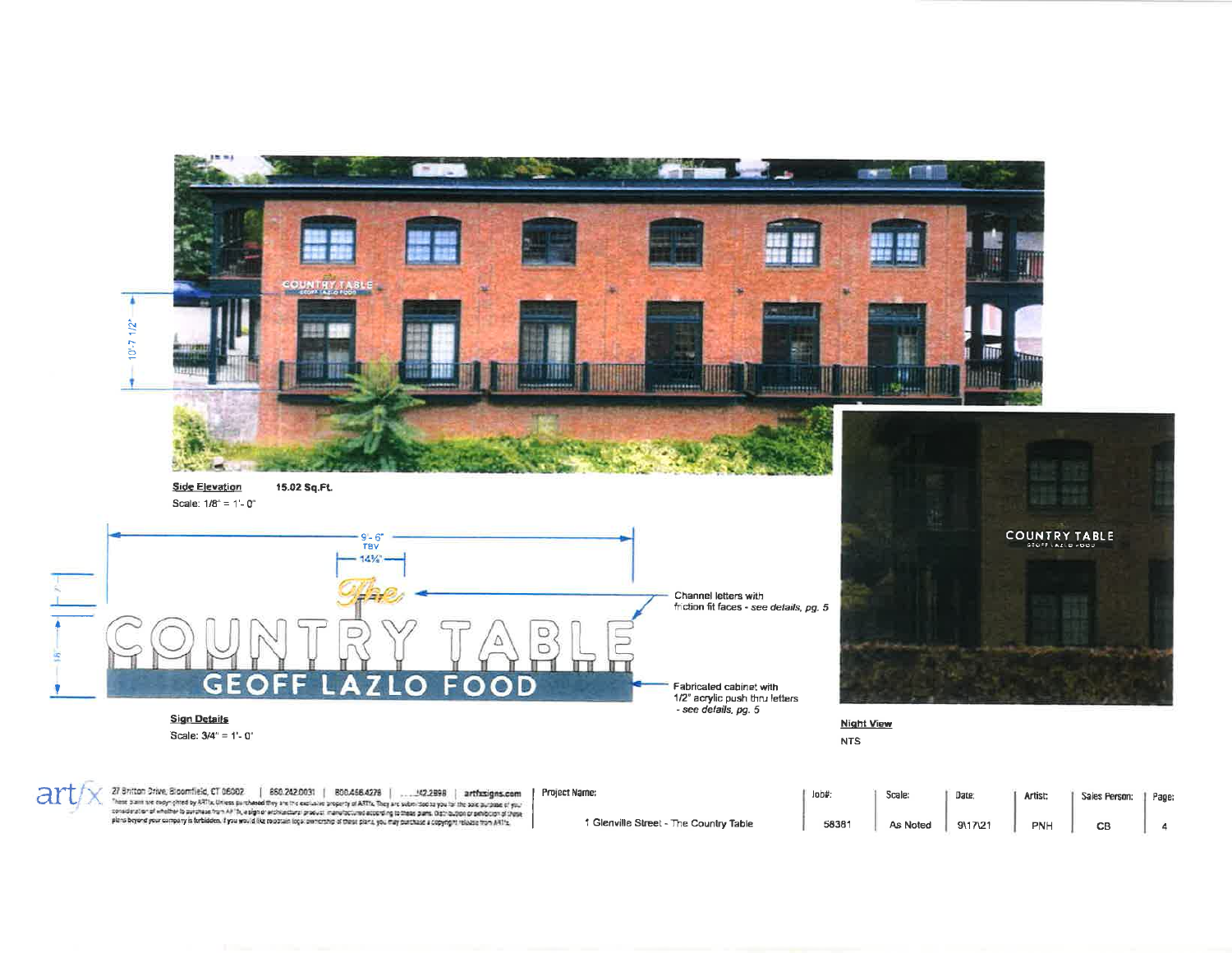

27 Britton Drive, Bloomfield, CT 06002 | 860.242.0031 | 800.466.4278 | . . . . .42,2898 | arthxsigns.com<br>"here pain is copy ghot by ARTs, Unites purcheed thy art the exclusive property of ARTs. They are submit of a your b Project Name:

art

1 Glenville Street - The Country Table

 $J$ ob#;

| b#    | Scale:   | Date:  | Artist: | Sales Person: | Page: |
|-------|----------|--------|---------|---------------|-------|
| 58381 | As Noted | 911721 | PNH     | CB            |       |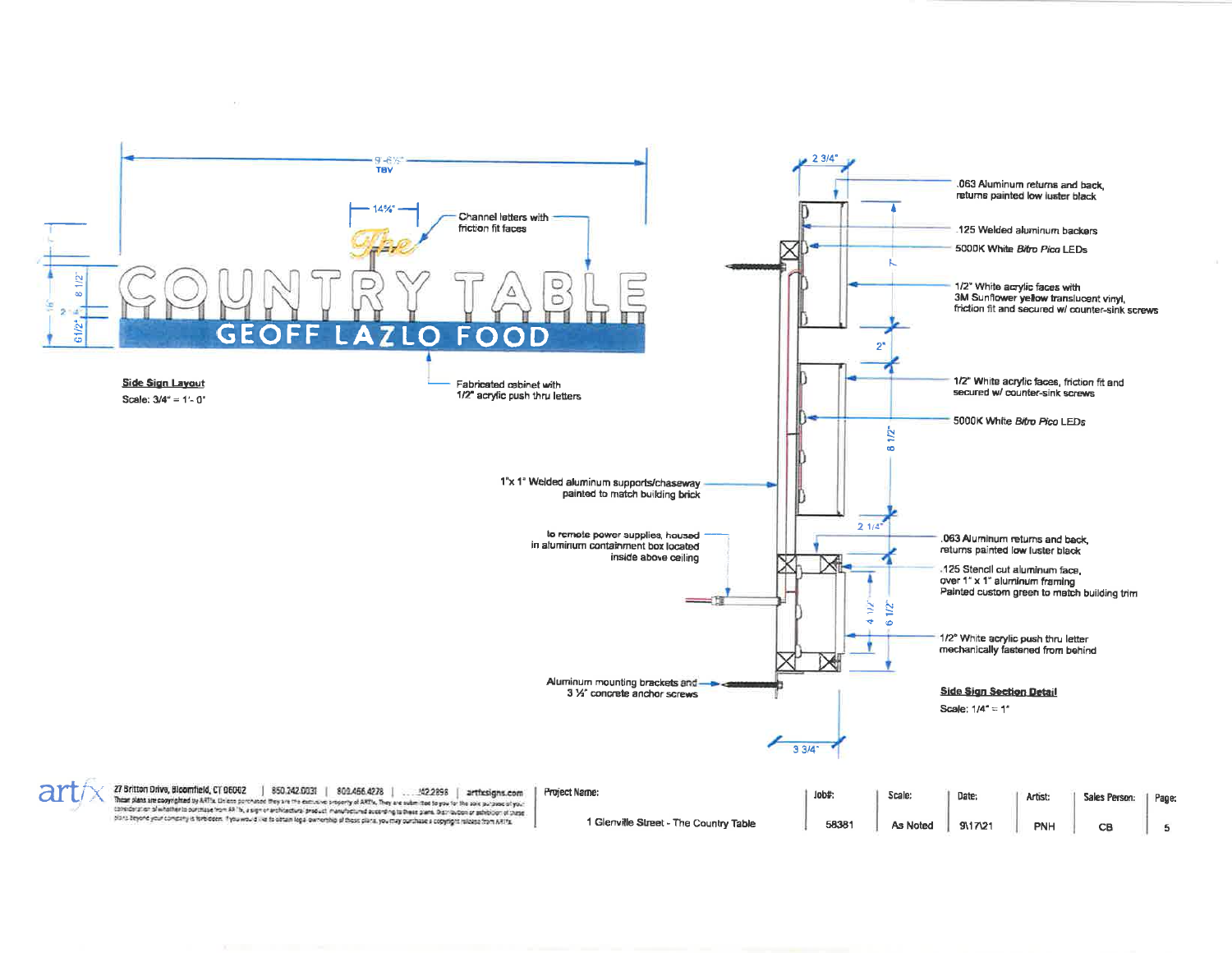

1 Glenville Street - The Country Table 58381 As Noted 9\17\21

PNH

CB

5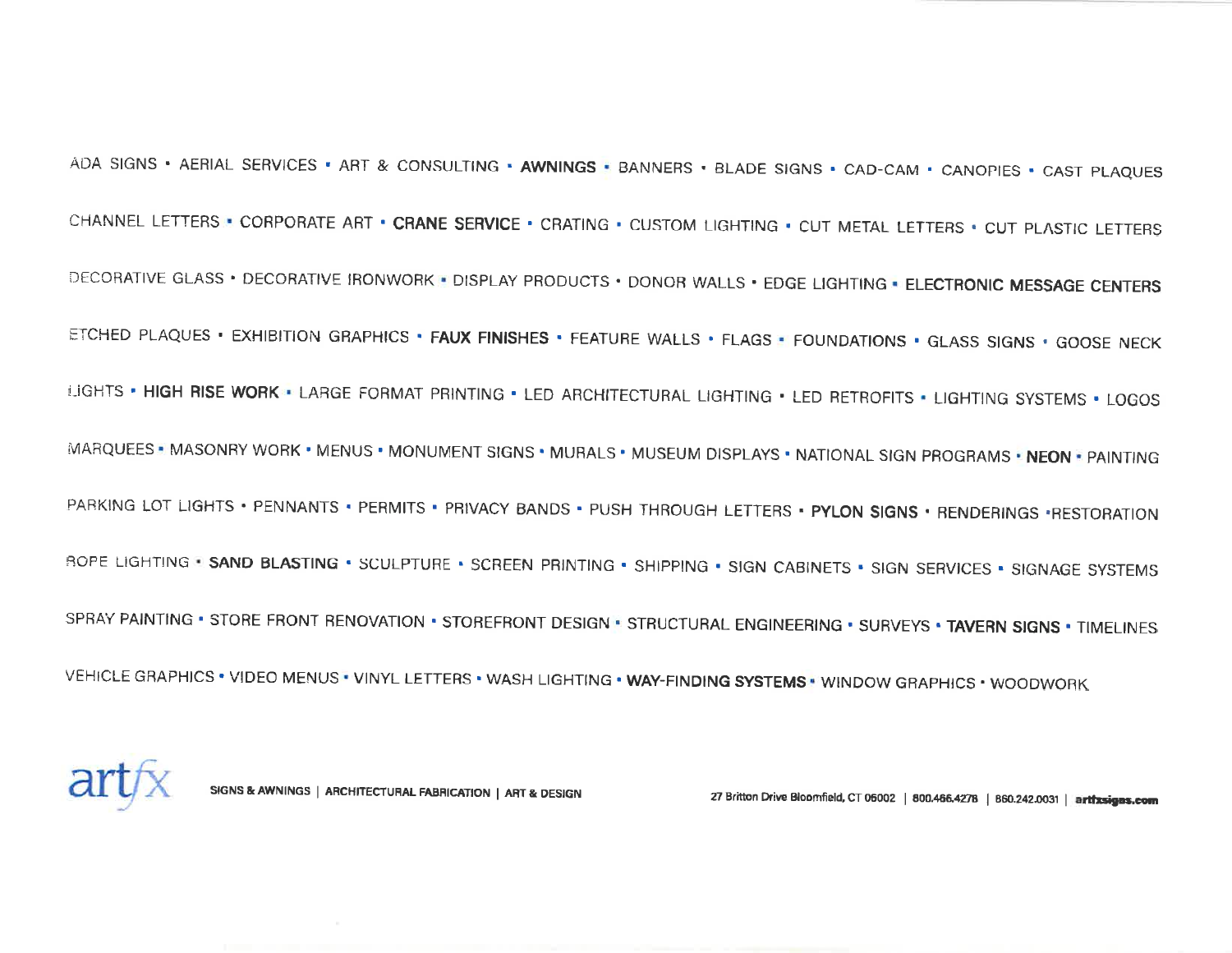ADA SIGNS . AERIAL SERVICES . ART & CONSULTING . AWNINGS . BANNERS . BLADE SIGNS . CAD-CAM . CANOPIES . CAST PLAQUES CHANNEL LETTERS . CORPORATE ART . CRANE SERVICE . CRATING . CUSTOM LIGHTING . CUT METAL LETTERS . CUT PLASTIC LETTERS DECORATIVE GLASS . DECORATIVE IRONWORK . DISPLAY PRODUCTS . DONOR WALLS . EDGE LIGHTING . ELECTRONIC MESSAGE CENTERS ETCHED PLAQUES . EXHIBITION GRAPHICS . FAUX FINISHES . FEATURE WALLS . FLAGS . FOUNDATIONS . GLASS SIGNS . GOOSE NECK LIGHTS . HIGH RISE WORK . LARGE FORMAT PRINTING . LED ARCHITECTURAL LIGHTING . LED RETROFITS . LIGHTING SYSTEMS . LOGOS MARQUEES . MASONRY WORK . MENUS . MONUMENT SIGNS . MURALS . MUSEUM DISPLAYS . NATIONAL SIGN PROGRAMS . NEON . PAINTING PARKING LOT LIGHTS . PENNANTS . PERMITS . PRIVACY BANDS . PUSH THROUGH LETTERS . PYLON SIGNS . RENDERINGS . RESTORATION ROPE LIGHTING. S**AND BLASTING.** SCULPTURE. SCREEN PRINTING. SHIPPING. SIGN CABINETS. SIGN SERVICES. SIGNAGE PHR SPRAY PAINTING . STORE FRONT RENOVATION . STOREFRONT DESIGN . STRUCTURAL ENGINEERING . SURVEYS . TAVERN SIGNS . TIMELINES VEHICLE GRAPHICS . VIDEO MENUS. VINYL LETTERS . WASH LIGHTING . WAY-FINDING SYSTEMS . WINDOW GRAPHICS . WOODWORK



SIGNS & AWNINGS | ARCHITECTURAL FABRICATION | ART & DESIGN 27 Britton Drive Bloomfield, CT 06002 | 800.466.4278 | 860.242.0031 | artifxsigas.com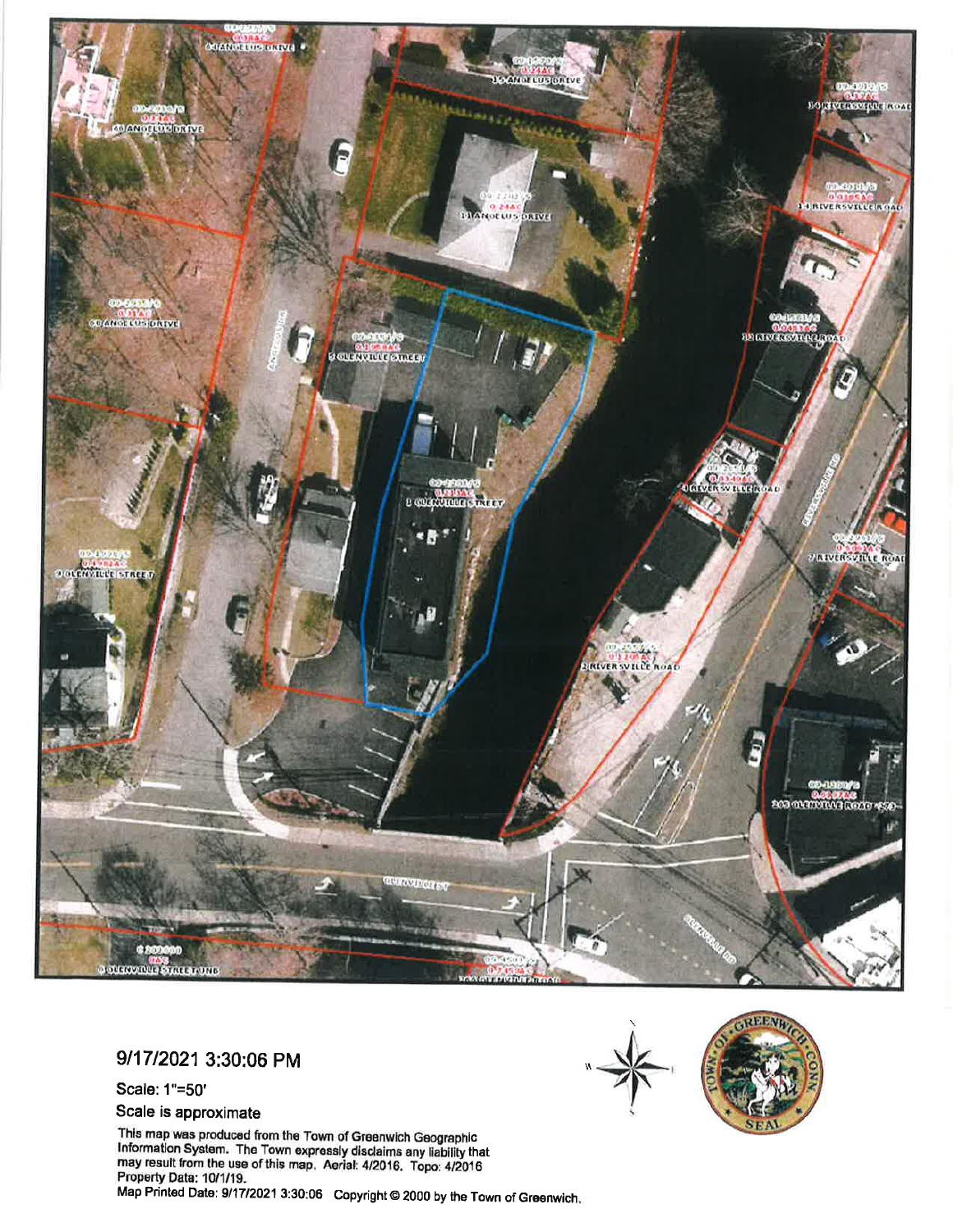

9/17/2021 3:30:06 PM

Scale: 1"=50"

Scale is approximate

This map was produced from the Town of Greenwich Geographic<br>Information System. The Town expressly disclaims any liability that<br>may result from the use of this map. Aerial: 4/2016. Topo: 4/2016 Property Data: 10/1/19. Map Printed Date: 9/17/2021 3:30:06 Copyright © 2000 by the Town of Greenwich.



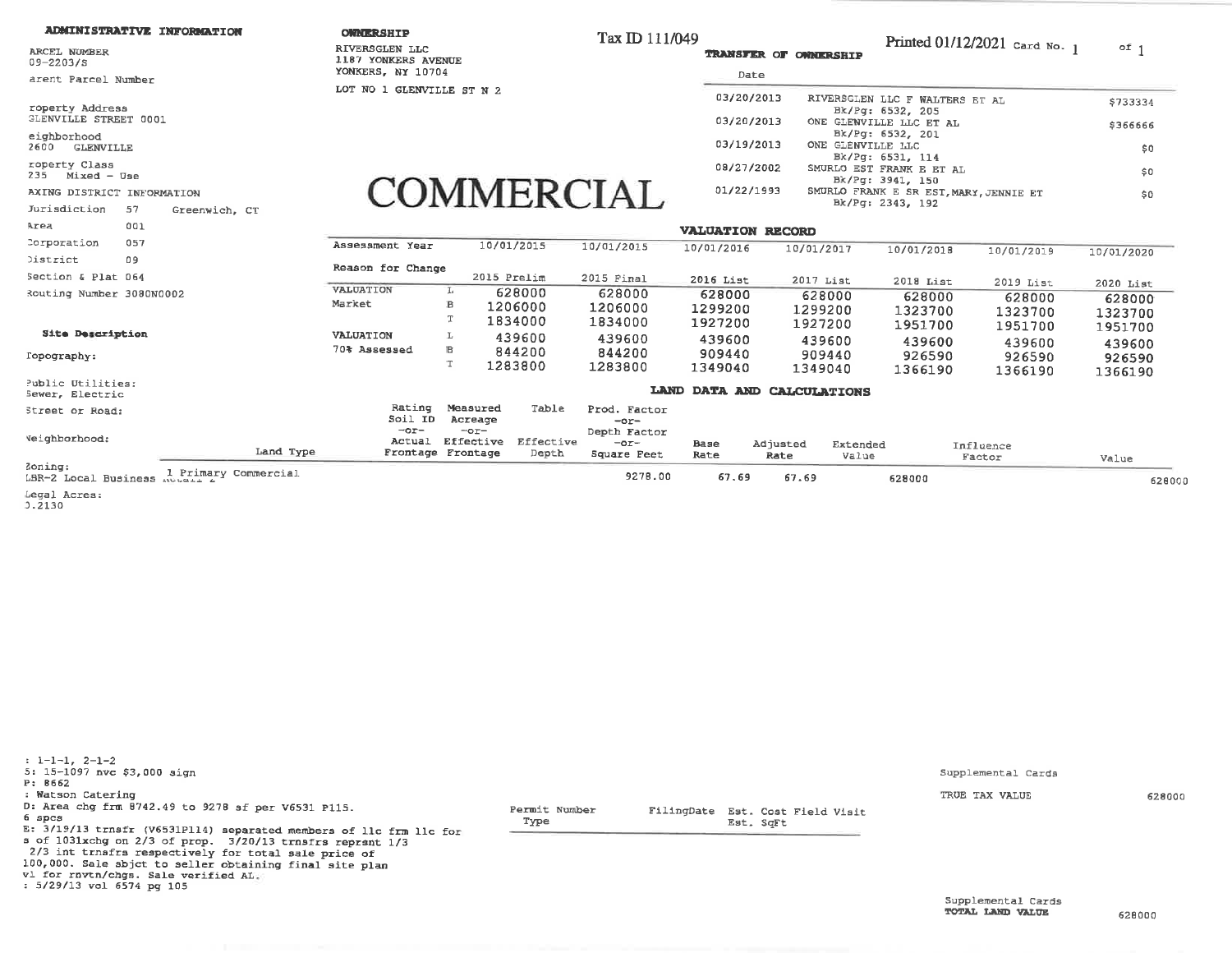## **ADMINISTRATIVE INFORMATION**

ARCEL NUMBER  $09 - 2203/S$ 

arent Parcel Number

roperty Address **GLENVILLE STREET 0001** 

eighborhood 2600 GLENVILLE

roperty Class  $235$  Mixed - Use

AXING DISTRICT INFORMATION

Jurisdiction 57 Greenwich, CT

**OWNERSHIP** RIVERSGLEN LLC

1187 YONKERS AVENUE YONKERS, NY 10704

LOT NO 1 GLENVILLE ST N 2

Tax ID 111/049

-

**TRANSFER OF OWNERSHTP** 

01/22/1993

FilingDate Est. Cost Field Visit

Est. SqFt

Printed 01/12/2021 Card No. 1  $of 1$ 

\$733334

\$366666

\$0

 $$0$ 

 $$0$ 

| Date       |                                              |  |
|------------|----------------------------------------------|--|
| 03/20/2013 | RIVERSGLEN LLC F WALTERS ET AL               |  |
| 03/20/2013 | Bk/Pg: 6532, 205<br>ONE GLENVILLE LLC ET AL  |  |
| 03/19/2013 | Bk/Pg: 6532, 201<br>ONE GLENVILLE LLC        |  |
|            | Bk/Pg: 6531, 114                             |  |
| 08/27/2002 | SMURLO EST FRANK E ET AL<br>Bk/Pg: 3941, 150 |  |

Bk/Pg: 2343, 192

SMURLO FRANK E SR EST, MARY, JENNIE ET

## **COMMERCIAL**

| Area                                 | 001                                    |           |                     |                                          |                              |                                       | <b>VALUATION RECORD</b>      |                     |                   |                              |                              |                             |
|--------------------------------------|----------------------------------------|-----------|---------------------|------------------------------------------|------------------------------|---------------------------------------|------------------------------|---------------------|-------------------|------------------------------|------------------------------|-----------------------------|
| Corporation                          | 057                                    |           | Assessment Year     |                                          | 10/01/2015                   | 10/01/2015                            | 10/01/2016                   | 10/01/2017          |                   | 10/01/2018                   | 10/01/2019                   | 10/01/2020                  |
| <b>District</b>                      | 09                                     |           | Reason for Change   |                                          |                              |                                       |                              |                     |                   |                              |                              |                             |
| Section & Plat 064                   |                                        |           |                     | 2015 Prelim                              |                              | 2015 Final                            | 2016 List                    | 2017 List           |                   | $2018$ List                  | 2019 List                    | 2020 List                   |
| Routing Number 3080N0002             |                                        |           | VALUATION<br>Market | TP.<br>в                                 | 628000<br>1206000<br>1834000 | 628000<br>1206000<br>1834000          | 628000<br>1299200<br>1927200 | 1299200<br>1927200  | 628000            | 628000<br>1323700<br>1951700 | 628000<br>1323700<br>1951700 | 628000<br>1323700           |
| Site Description                     |                                        |           | VALUATION           | L                                        | 439600                       | 439600                                | 439600                       |                     | 439600            | 439600                       | 439600                       | 1951700                     |
| Topography:                          |                                        |           | 70% Assessed        | в                                        | 844200<br>1283800            | 844200<br>1283800                     | 909440<br>1349040            | 1349040             | 909440            | 926590<br>1366190            | 926590<br>1366190            | 439600<br>926590<br>1366190 |
| Public Utilities:<br>Sewer, Electric |                                        |           |                     |                                          |                              | LAND                                  | <b>DATA AND</b>              | <b>CALCULATIONS</b> |                   |                              |                              |                             |
| Street or Road:                      |                                        |           | Rating<br>Soil ID   | Measured<br>Acreage                      | Table                        | Prod. Factor<br>$-0r-$                |                              |                     |                   |                              |                              |                             |
| Veighborhood:                        |                                        | Land Type | $-0r-$<br>Actual    | $-0r-$<br>Effective<br>Frontage Frontage | Effective<br>Depth           | Depth Factor<br>$-0r-$<br>Square Peet | Base<br>Rate                 | Adjusted<br>Rate    | Extended<br>Value |                              | Influence<br>Factor          | Value                       |
| Zoning:<br>LBR-2 Local Business      | Primary Commercial<br><b>ANGUELL A</b> |           |                     |                                          |                              | 9278.00                               | 67.69                        | 67.69               |                   | 628000                       |                              | 628000                      |

Legal Acres:

 $3.2130$ 

 $: 1-1-1, 2-1-2$ 5: 15-1097 nvc \$3,000 sign P: 8662 : Watson Catering D: Area chg frm 8742.49 to 9278 sf per V6531 P115. Permit Number 6 spcs Type E: 3/19/13 trnsfr (V6531P114) separated members of llc frm llc for s of 1031xchg on 2/3 of prop. 3/20/13 trnsfrs reprsnt 1/3 2/3 int trnsfrs respectively for total sale price of 100,000. Sale sbjct to seller obtaining final site plan vl for rnvtn/chgs. Sale verified AL.

: 5/29/13 vol 6574 pg 105

Supplemental Cards

TRUE TAX VALUE

628000